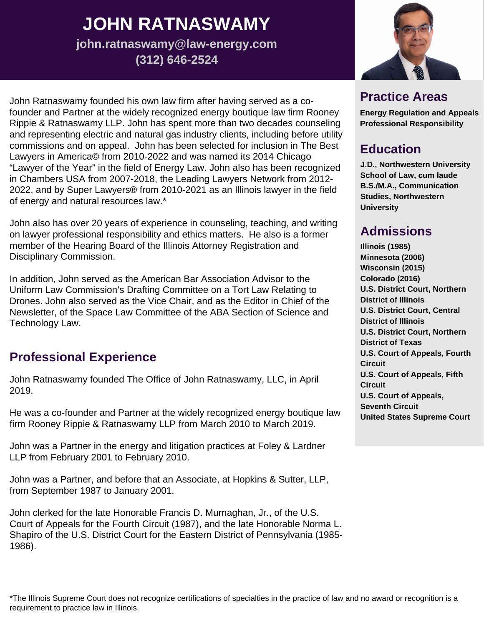# **JOHN RATNASWAMY**

**john.ratnaswamy@law-energy.com (312) 646-2524**

John Ratnaswamy founded his own law firm after having served as a cofounder and Partner at the widely recognized energy boutique law firm Rooney Rippie & Ratnaswamy LLP. John has spent more than two decades counseling and representing electric and natural gas industry clients, including before utility commissions and on appeal. John has been selected for inclusion in The Best Lawyers in America© from 2010-2022 and was named its 2014 Chicago "Lawyer of the Year" in the field of Energy Law. John also has been recognized in Chambers USA from 2007-2018, the Leading Lawyers Network from 2012- 2022, and by Super Lawyers® from 2010-2021 as an Illinois lawyer in the field of energy and natural resources law.\*

John also has over 20 years of experience in counseling, teaching, and writing on lawyer professional responsibility and ethics matters. He also is a former member of the Hearing Board of the Illinois Attorney Registration and Disciplinary Commission.

In addition, John served as the American Bar Association Advisor to the Uniform Law Commission's Drafting Committee on a Tort Law Relating to Drones. John also served as the Vice Chair, and as the Editor in Chief of the Newsletter, of the Space Law Committee of the ABA Section of Science and Technology Law.

#### **Professional Experience**

John Ratnaswamy founded The Office of John Ratnaswamy, LLC, in April 2019.

He was a co-founder and Partner at the widely recognized energy boutique law firm Rooney Rippie & Ratnaswamy LLP from March 2010 to March 2019.

John was a Partner in the energy and litigation practices at Foley & Lardner LLP from February 2001 to February 2010.

John was a Partner, and before that an Associate, at Hopkins & Sutter, LLP, from September 1987 to January 2001.

John clerked for the late Honorable Francis D. Murnaghan, Jr., of the U.S. Court of Appeals for the Fourth Circuit (1987), and the late Honorable Norma L. Shapiro of the U.S. District Court for the Eastern District of Pennsylvania (1985- 1986).



# **Practice Areas**

**Energy Regulation and Appeals Professional Responsibility**

# **Education**

**J.D., Northwestern University School of Law, cum laude B.S./M.A., Communication Studies, Northwestern University**

# **Admissions**

**Illinois (1985) Minnesota (2006) Wisconsin (2015) Colorado (2016) U.S. District Court, Northern District of Illinois U.S. District Court, Central District of Illinois U.S. District Court, Northern District of Texas U.S. Court of Appeals, Fourth Circuit U.S. Court of Appeals, Fifth Circuit U.S. Court of Appeals, Seventh Circuit United States Supreme Court**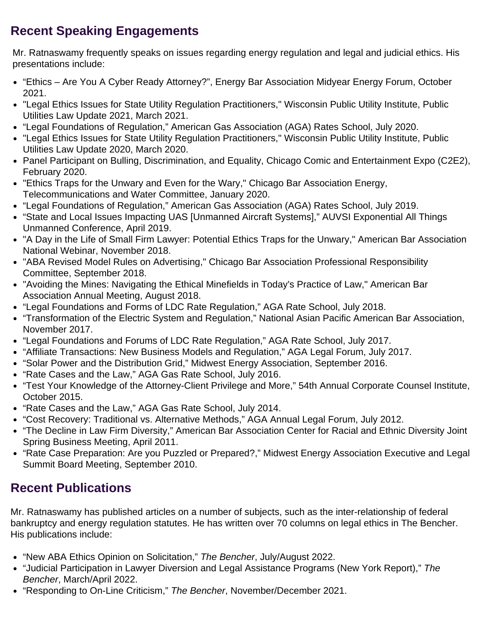# **Recent Speaking Engagements**

Mr. Ratnaswamy frequently speaks on issues regarding energy regulation and legal and judicial ethics. His presentations include:

- "Ethics Are You A Cyber Ready Attorney?", Energy Bar Association Midyear Energy Forum, October 2021.
- "Legal Ethics Issues for State Utility Regulation Practitioners," Wisconsin Public Utility Institute, Public Utilities Law Update 2021, March 2021.
- "Legal Foundations of Regulation," American Gas Association (AGA) Rates School, July 2020.
- "Legal Ethics Issues for State Utility Regulation Practitioners," Wisconsin Public Utility Institute, Public Utilities Law Update 2020, March 2020.
- Panel Participant on Bulling, Discrimination, and Equality, Chicago Comic and Entertainment Expo (C2E2), February 2020.
- "Ethics Traps for the Unwary and Even for the Wary," Chicago Bar Association Energy, Telecommunications and Water Committee, January 2020.
- "Legal Foundations of Regulation," American Gas Association (AGA) Rates School, July 2019.
- "State and Local Issues Impacting UAS [Unmanned Aircraft Systems]," AUVSI Exponential All Things Unmanned Conference, April 2019.
- "A Day in the Life of Small Firm Lawyer: Potential Ethics Traps for the Unwary," American Bar Association National Webinar, November 2018.
- "ABA Revised Model Rules on Advertising," Chicago Bar Association Professional Responsibility Committee, September 2018.
- "Avoiding the Mines: Navigating the Ethical Minefields in Today's Practice of Law," American Bar Association Annual Meeting, August 2018.
- "Legal Foundations and Forms of LDC Rate Regulation," AGA Rate School, July 2018.
- "Transformation of the Electric System and Regulation," National Asian Pacific American Bar Association, November 2017.
- "Legal Foundations and Forums of LDC Rate Regulation," AGA Rate School, July 2017.
- "Affiliate Transactions: New Business Models and Regulation," AGA Legal Forum, July 2017.
- "Solar Power and the Distribution Grid," Midwest Energy Association, September 2016.
- "Rate Cases and the Law," AGA Gas Rate School, July 2016.
- "Test Your Knowledge of the Attorney-Client Privilege and More," 54th Annual Corporate Counsel Institute, October 2015.
- "Rate Cases and the Law," AGA Gas Rate School, July 2014.
- "Cost Recovery: Traditional vs. Alternative Methods," AGA Annual Legal Forum, July 2012.
- "The Decline in Law Firm Diversity," American Bar Association Center for Racial and Ethnic Diversity Joint Spring Business Meeting, April 2011.
- "Rate Case Preparation: Are you Puzzled or Prepared?," Midwest Energy Association Executive and Legal Summit Board Meeting, September 2010.

# **Recent Publications**

Mr. Ratnaswamy has published articles on a number of subjects, such as the inter-relationship of federal bankruptcy and energy regulation statutes. He has written over 70 columns on legal ethics in The Bencher. His publications include:

- "New ABA Ethics Opinion on Solicitation," *The Bencher*, July/August 2022.
- "Judicial Participation in Lawyer Diversion and Legal Assistance Programs (New York Report)," *The Bencher*, March/April 2022.
- "Responding to On-Line Criticism," *The Bencher*, November/December 2021.